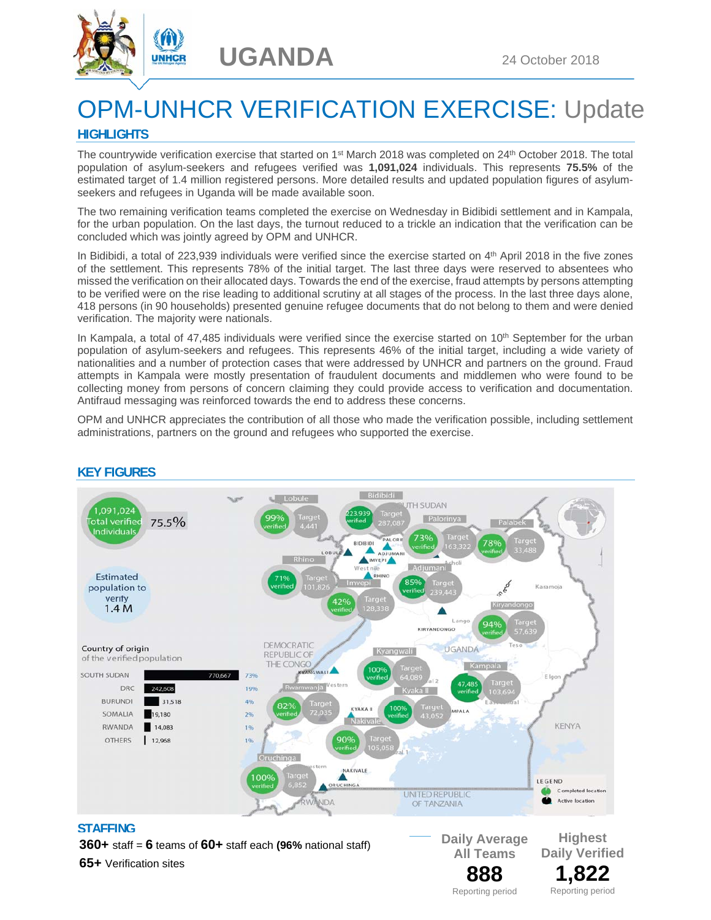



# OPM-UNHCR VERIFICATION EXERCISE: Update

## **HIGHLIGHTS**

The countrywide verification exercise that started on 1st March 2018 was completed on 24th October 2018. The total population of asylum-seekers and refugees verified was **1,091,024** individuals. This represents **75.5%** of the estimated target of 1.4 million registered persons. More detailed results and updated population figures of asylumseekers and refugees in Uganda will be made available soon.

The two remaining verification teams completed the exercise on Wednesday in Bidibidi settlement and in Kampala, for the urban population. On the last days, the turnout reduced to a trickle an indication that the verification can be concluded which was jointly agreed by OPM and UNHCR.

In Bidibidi, a total of 223,939 individuals were verified since the exercise started on 4<sup>th</sup> April 2018 in the five zones of the settlement. This represents 78% of the initial target. The last three days were reserved to absentees who missed the verification on their allocated days. Towards the end of the exercise, fraud attempts by persons attempting to be verified were on the rise leading to additional scrutiny at all stages of the process. In the last three days alone, 418 persons (in 90 households) presented genuine refugee documents that do not belong to them and were denied verification. The majority were nationals.

In Kampala, a total of 47,485 individuals were verified since the exercise started on 10<sup>th</sup> September for the urban population of asylum-seekers and refugees. This represents 46% of the initial target, including a wide variety of nationalities and a number of protection cases that were addressed by UNHCR and partners on the ground. Fraud attempts in Kampala were mostly presentation of fraudulent documents and middlemen who were found to be collecting money from persons of concern claiming they could provide access to verification and documentation. Antifraud messaging was reinforced towards the end to address these concerns.

OPM and UNHCR appreciates the contribution of all those who made the verification possible, including settlement administrations, partners on the ground and refugees who supported the exercise.



## **KEY FIGURES**